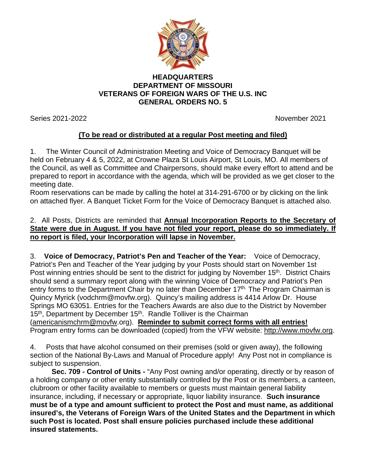

## **HEADQUARTERS DEPARTMENT OF MISSOURI VETERANS OF FOREIGN WARS OF THE U.S. INC GENERAL ORDERS NO. 5**

Series 2021-2022 November 2021

## **(To be read or distributed at a regular Post meeting and filed)**

1. The Winter Council of Administration Meeting and Voice of Democracy Banquet will be held on February 4 & 5, 2022, at Crowne Plaza St Louis Airport, St Louis, MO. All members of the Council, as well as Committee and Chairpersons, should make every effort to attend and be prepared to report in accordance with the agenda, which will be provided as we get closer to the meeting date.

Room reservations can be made by calling the hotel at 314-291-6700 or by clicking on the link on attached flyer. A Banquet Ticket Form for the Voice of Democracy Banquet is attached also.

## 2. All Posts, Districts are reminded that **Annual Incorporation Reports to the Secretary of State were due in August. If you have not filed your report, please do so immediately. If no report is filed, your Incorporation will lapse in November.**

3. **Voice of Democracy, Patriot's Pen and Teacher of the Year:** Voice of Democracy, Patriot's Pen and Teacher of the Year judging by your Posts should start on November 1st Post winning entries should be sent to the district for judging by November 15<sup>th</sup>. District Chairs should send a summary report along with the winning Voice of Democracy and Patriot's Pen entry forms to the Department Chair by no later than December 17<sup>th.</sup> The Program Chairman is Quincy Myrick (vodchrm@movfw.org). Quincy's mailing address is 4414 Arlow Dr. House Springs MO 63051. Entries for the Teachers Awards are also due to the District by November 15<sup>th</sup>, Department by December 15<sup>th</sup>. Randle Tolliver is the Chairman

[\(americanismchrm@movfw.](mailto:americanismchrm@movfw)org). **Reminder to submit correct forms with all entries!**  Program entry forms can be downloaded (copied) from the VFW website: [http://www.movfw.org.](http://www.movfw.org/)

4. Posts that have alcohol consumed on their premises (sold or given away), the following section of the National By-Laws and Manual of Procedure apply! Any Post not in compliance is subject to suspension.

**Sec. 709 - Control of Units -** "Any Post owning and/or operating, directly or by reason of a holding company or other entity substantially controlled by the Post or its members, a canteen, clubroom or other facility available to members or guests must maintain general liability insurance, including, if necessary or appropriate, liquor liability insurance. **Such insurance must be of a type and amount sufficient to protect the Post and must name, as additional insured's, the Veterans of Foreign Wars of the United States and the Department in which such Post is located. Post shall ensure policies purchased include these additional insured statements.**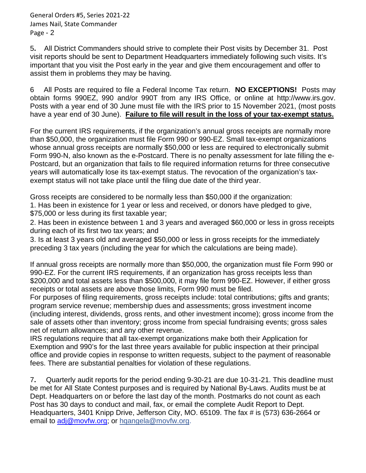General Orders #5, Series 2021-22 James Nail, State Commander Page - 2

5**.** All District Commanders should strive to complete their Post visits by December 31. Post visit reports should be sent to Department Headquarters immediately following such visits. It's important that you visit the Post early in the year and give them encouragement and offer to assist them in problems they may be having.

6 All Posts are required to file a Federal Income Tax return. **NO EXCEPTIONS!** Posts may obtain forms 990EZ, 990 and/or 990T from any IRS Office, or online at http://www.irs.gov. Posts with a year end of 30 June must file with the IRS prior to 15 November 2021, (most posts have a year end of 30 June). **Failure to file will result in the loss of your tax-exempt status.**

For the current IRS requirements, if the organization's annual gross receipts are normally more than \$50,000, the organization must file Form 990 or 990-EZ. Small tax-exempt organizations whose annual gross receipts are normally \$50,000 or less are required to electronically submit Form 990-N, also known as the e-Postcard. There is no penalty assessment for late filling the e-Postcard, but an organization that fails to file required information returns for three consecutive years will automatically lose its tax-exempt status. The revocation of the organization's taxexempt status will not take place until the filing due date of the third year.

Gross receipts are considered to be normally less than \$50,000 if the organization:

1. Has been in existence for 1 year or less and received, or donors have pledged to give, \$75,000 or less during its first taxable year;

2. Has been in existence between 1 and 3 years and averaged \$60,000 or less in gross receipts during each of its first two tax years; and

3. Is at least 3 years old and averaged \$50,000 or less in gross receipts for the immediately preceding 3 tax years (including the year for which the calculations are being made).

If annual gross receipts are normally more than \$50,000, the organization must file Form 990 or 990-EZ. For the current IRS requirements, if an organization has gross receipts less than \$200,000 and total assets less than \$500,000, it may file form 990-EZ. However, if either gross receipts or total assets are above those limits, Form 990 must be filed.

For purposes of filing requirements, gross receipts include: total contributions; gifts and grants; program service revenue; membership dues and assessments; gross investment income (including interest, dividends, gross rents, and other investment income); gross income from the sale of assets other than inventory; gross income from special fundraising events; gross sales net of return allowances; and any other revenue.

IRS regulations require that all tax-exempt organizations make both their Application for Exemption and 990's for the last three years available for public inspection at their principal office and provide copies in response to written requests, subject to the payment of reasonable fees. There are substantial penalties for violation of these regulations.

7**.** Quarterly audit reports for the period ending 9-30-21 are due 10-31-21. This deadline must be met for All State Contest purposes and is required by National By-Laws. Audits must be at Dept. Headquarters on or before the last day of the month. Postmarks do not count as each Post has 30 days to conduct and mail, fax, or email the complete Audit Report to Dept. Headquarters, 3401 Knipp Drive, Jefferson City, MO. 65109. The fax # is (573) 636-2664 or email to [adj@movfw.org;](mailto:adj@movfw.org) or hqangela@movfw.org.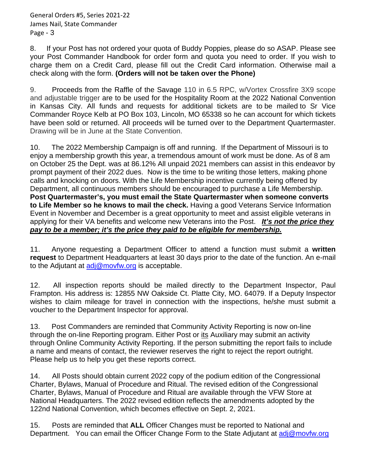8. If your Post has not ordered your quota of Buddy Poppies, please do so ASAP. Please see your Post Commander Handbook for order form and quota you need to order. If you wish to charge them on a Credit Card, please fill out the Credit Card information. Otherwise mail a check along with the form. **(Orders will not be taken over the Phone)**

9. Proceeds from the Raffle of the Savage 110 in 6.5 RPC, w/Vortex Crossfire 3X9 scope and adjustable trigger are to be used for the Hospitality Room at the 2022 National Convention in Kansas City. All funds and requests for additional tickets are to be mailed to Sr Vice Commander Royce Kelb at PO Box 103, Lincoln, MO 65338 so he can account for which tickets have been sold or returned. All proceeds will be turned over to the Department Quartermaster. Drawing will be in June at the State Convention.

10. The 2022 Membership Campaign is off and running. If the Department of Missouri is to enjoy a membership growth this year, a tremendous amount of work must be done. As of 8 am on October 25 the Dept. was at 86.12% All unpaid 2021 members can assist in this endeavor by prompt payment of their 2022 dues. Now is the time to be writing those letters, making phone calls and knocking on doors. With the Life Membership incentive currently being offered by Department, all continuous members should be encouraged to purchase a Life Membership. **Post Quartermaster's, you must email the State Quartermaster when someone converts to Life Member so he knows to mail the check.** Having a good Veterans Service Information Event in November and December is a great opportunity to meet and assist eligible veterans in applying for their VA benefits and welcome new Veterans into the Post. *It's not the price they pay to be a member; it's the price they paid to be eligible for membership.*

11. Anyone requesting a Department Officer to attend a function must submit a **written request** to Department Headquarters at least 30 days prior to the date of the function. An e-mail to the Adjutant at [adj@movfw.org](mailto:adj@movfw.org) is acceptable.

12. All inspection reports should be mailed directly to the Department Inspector, Paul Frampton. His address is: 12855 NW Oakside Ct. Platte City, MO. 64079. If a Deputy Inspector wishes to claim mileage for travel in connection with the inspections, he/she must submit a voucher to the Department Inspector for approval.

13. Post Commanders are reminded that Community Activity Reporting is now on-line through the on-line Reporting program. Either Post or its Auxiliary may submit an activity through Online Community Activity Reporting. If the person submitting the report fails to include a name and means of contact, the reviewer reserves the right to reject the report outright. Please help us to help you get these reports correct.

14. All Posts should obtain current 2022 copy of the podium edition of the Congressional Charter, Bylaws, Manual of Procedure and Ritual. The revised edition of the Congressional Charter, Bylaws, Manual of Procedure and Ritual are available through the VFW Store at National Headquarters. The 2022 revised edition reflects the amendments adopted by the 122nd National Convention, which becomes effective on Sept. 2, 2021.

15. Posts are reminded that **ALL** Officer Changes must be reported to National and Department. You can email the Officer Change Form to the State Adjutant at [adj@movfw.org](mailto:adj@movfw.org)